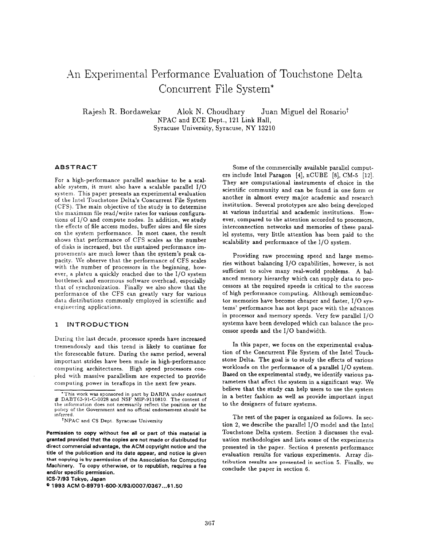# .An Experimental Performance Evaluation of Touchstone Delta Concurrent File System\*

Rajesh R. Bordawekar Alok N. Choudhary Juan Miguel del Rosariot NPAC and ECE Dept., 121 Link Hall, Syracuse University, Syracuse, NY 13210

## ABSTRACT

For a high-performance parallel machine to be a scalable system, it must also have a scalable parallel  $I/O$ system. This paper presents an experimental evaluation of the Intel Touchstone Delta's Concurrent File System ( CFS). The main objective of the study is to determine the maximum file read/write rates for various configurations of 1/0 and compute nodes. In addition, we study the effects of file access modes, buffer sizes and file sizes on the system performance. In most cases, the result shows that performance of CFS scales as the number of disks is increased, but the sustained performance improvements are much lower than the system's peak capacity. We observe that the performance of CFS scales with the number of processors in the beginning, however, a plateu a quickly reached due to the 1/0 system bottleneck and enormous software overhead, especially that of synchronization. Finally we also show that the performance of the CFS can greatly vary for various data distributions commonly employed in scientific and engineering applications.

# 1 INTRODUCTION

During the last decade, processor speeds have increased tremendously and this trend is likely to continue for the foreseeable future. During the same period, several import ant strides have been made in high-performance computing architectures. High speed processors coupled with massive parallelism are expected to provide computing power in teraflops in the next few years.

ICS-7193 Tokyo, Japan

Some of the commercially available parallel computers include Intel Paragon [4], nCUBE [8], CM-5 [12]. They are computational instruments of choice in the scientific community and can be found in one form or another in almost every major academic and research institution. Several prototypes are also being developed at various industrial and academic institutions. However, compared to the attention accorded to processors, interconnection networks and memories of these parallel systems, very little attention has been paid to the scalability and performance of the 1/0 system.

Providing raw processing speed and large memories without balancing 1/0 capabilities, however, is not sufficient to solve many real-world problems. A balanced memory hierarchy which can supply data to processors at the required speeds is critical to the success of high performance computing. Although semiconductor memories have become cheaper and faster, 1/0 systems' performance has not kept pace with the advances in processor and memory speeds. Very few parallel 1/0 systems have been developed which can balance the processor speeds and the 1/0 bandwidth.

In this paper, we focus on the experimental evaluation of the Concurrent File System of the Intel Touchstone Delta. The goal is to study the effects of various workloads on the performance of a parallel 1/0 system. Based on the experimental study, we identify various parameters that affect the system in a significant way. We believe that the study can help users to use the system in a better fashion as well as provide important input to the designers of future systems,

The rest of the paper is organized as follows. In section 2, we describe the parallel 1/0 model and the Intel Touchstone Delta system. Section 3 discusses the evaluation methodologies and lists some of the experiments presented in the paper. Section 4 presents performance evaluation results for various experiments. Array dis. tribution results are presented in section 5. Finally, we conclude the paper in section 6.

<sup>&</sup>quot; This work was sponsored in part by DARPA under contract # DABT63-91-C-0028 and NSF MIP-911081O, The content of the information does not necessarily reflect the position or the policy of the Government and no official endorsement should be inferred.

<sup>&</sup>lt;sup>t</sup>NPAC and CS Dept. Syracuse University

Permission to copy without fee all or part of this material is granted provided that the copies are not made or distributed for direct commercial advantage, the ACM copyright notice and the title of the publication and its date appear, and notice is given that copying is by permission of the Association for Computing Machinery. To copy otherwise, or to republish, requires a fee and/or specific permission.

<sup>&</sup>lt;sup>©</sup> 1993 ACM 0-89791-600-X/93/0007/0367...\$1.50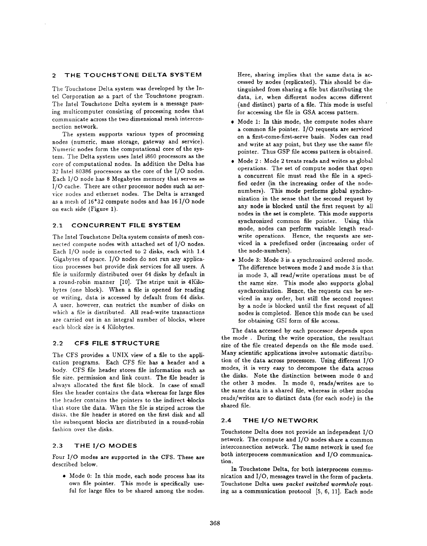# 2 THE TOUCHSTONE DELTA SYSTEM

The Touchstone Delta system was developed by the Intel Corporation as a part of the Touchstone program. The Intel Touchstone Delta system is a message passing multicomputer consisting of processing nodes that communicate across the two dimensional mesh interconnection network.

The system supports various types of processing nodes (numeric, mass storage, gateway and service). Numeric nodes form the computational core of the system. The Delta system uses Intel i860 processors as the core of computational nodes. In addition the Delta has 32 Intel 80386 processors as the core of the 1/0 nodes. Each 1/0 node has 8 Megabytes memory that serves as 1/0 cache. There are other processor nodes such as service nodes and ethernet nodes. The Delta is arranged as a mesh of 16\*32 compute nodes and has 16 1/0 node on each side (Figure I).

#### 2.1 CONCURRENT FILE SYSTEM

The Intel Touchstone Delta system consists of mesh connected compute nodes with attached set of 1/0 nodes. Each 1/0 node is connected to 2 disks, each with 1.4 Gigabytes of space. 1/0 nodes do not run any application processes but provide disk services for all users. A file is uniformly distributed over 64 disks by default in a round-robin manner [10]. The stripe unit is 4Kilobytes (one block). When a file is opened for reading or writing, data is accessed by default from 64 disks. A user, however, can restrict the number of disks on which a file is distributed. All read-write transactions are carried out in an integral number of blocks, where each block size is 4 Kilobytes.

# 2.2 CFS FILE STRUCTURE

The CFS provides a UNIX view of a file to the application programs. Each CFS file has a header and a body. CFS file header stores file information such as file size, permission and link count. The file header is always allocated the first file block. In case of small files the header contains the data whereas for large files the header contains the pointers to the indirect blocks that store the data. When the file is striped across the disks, the file header is stored on the first disk and all the subsequent blocks are distributed in a round-robin fashion over the disks.

## 2.3 THE 1/0 MODES

Four 1/0 modes are supported in the CFS. These are described below.

● Mode O: In this mode, each node process has its own file pointer. This mode is specifically useful for large files to be shared among the nodes.

Here, sharing implies that the same data is accessed by nodes (replicated). This should be distinguished from sharing a file but distributing the data, i.e, when different nodes access different (and distinct) parts of a file. This mode is useful for accessing the file in GSA access pattern.

- Mode 1: In this mode, the compute nodes share a common file pointer. 1/0 requests are serviced on a first-come-first-serve basis. Nodes can read and write at any point, but they use the same file pointer. Thus GSP file access pattern is obtained.
- $\bullet \,$  Mode  $2:$  Mode  $2$  treats reads and writes as glob operations. The set of compute nodes that open a concurrent file must read the file in a specified order (in the increasing order of the nodenumbers). This mode performs global synchronization in the sense that the second request by any node is blocked until the first request by all nodes in the set is complete. This mode supports synchronized common file pointer. Using this mode, nodes can perform variable length readwrite operations. Hence, the requests are serviced in a predefined order (increasing order of the node-numbers).
- Mode 3: Mode 3 is a synchronized ordered mod The difference between mode 2 and mode 3 is that in mode 3, all read/write operations must be of the same size. This mode also supports global synchronization. Hence, the requests can be serviced in any order, but still the second request by a node is blocked until the first request of all nodes is completed. Hence this mode can be used for obtaining GSI form of file access.

The data accessed by each processor depends upon the mode . During the write operation, the resultant size of the file created depends on the file mode used. Many scientific applications involve automatic distribution of the data across processors, Using different 1/0 modes, it is very easy to decompose the data across the disks. Note the distinction between mode O and the other 3 modes. In mode O, reads/writes are to the same data in a shared file, whereas in other modes reads/writes are to distinct data (for each node) in the shared file.

# 2.4 THE 1/0 NETWORK

Touchstone Delta does not provide an independent 1/0 network. The compute and 1/0 nodes share a common interconnection network. The same network is used for both interprocess communication and 1/0 communication.

In Touchstone Delta, for both interprocess communication and 1/0, messages travel in the form of packets. Touchstone Delta uses packet switched wormhole routing as a communication protocol [5, 6, II]. Each node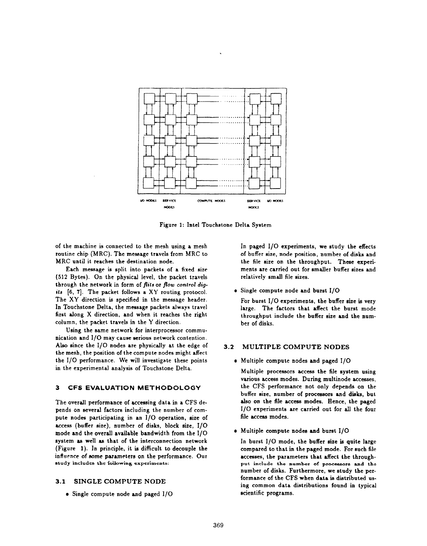

Figure 1: Intel Touchstone Delta System

of the machine is connected to the mesh using a mesh routine chip (MRC), The message travels from MRC to MRC until it reaches the destination node.

Each message is split into packets of a fixed size (512 Bytes). On the physical level, the packet travels through the network in form of flits or flow control digits [6, 7]. The packet follows a XY routing protocol. The XY direction is specified in the message header. In Touchstone Delta, the message packets always travel first along X direction, and when it reaches the right column, the packet travels in the Y direction.

Using the same network for interprocessor communication and 1/0 may cause serious network contention. Also since the  $I/O$  nodes are physically at the edge of the mesh, the position of the compute nodes might affect the 1/0 performance. We will investigate these points in the experimental analysis of Touchstone Delta.

# 3 CFS EVALUATION METHODOLOGY

The overall performance of acceasing data in a CFS depends on several factors including the number of compute nodes participating in an 1/0 operation, size of access (buffer size), number of disks, block size, 1/0 mode and the overall available bandwidth from the 1/0 system as well as that of the interconnection network (Figure 1). In principle, it is difficult to decouple the influence of some parameters on the performance. Our study includes the following experiments:

# 3.1 SINGLE COMPUTE NODE

● Single compute node and paged 1/0

In paged 1/0 experiments, we study the effects of buffer size, node position, number of disks and the file size on the throughput. These experiments are carried out for smaller buffer sizes and relatively small file sizes.

Single compute node and burst 1/0

For burst 1/0 experiments, the buffer size is very large. The factors that affect the burst mode throughput include the buffer size and the number of disks.

#### MULTIPLE COMPUTE NODES  $3.2$

Multiple compute nodes and paged 1/0

Multiple processors access the file system using, various access modes. During multinode accesses,, the CFS performance not only depends on the buffer size, number of processors and disks, but also on the file access modes. Hence, the paged 1/0 experiments are carried out for all the four file access modes.

Multiple compute nodes and burst 1/0

In burst 1/0 mode, the buffer size is quite large compared to that in the paged mode. For such file accesses, the parameters that affect the throughput include the number of processors and the number of disks. Furthermore, we study the performance of the CFS when data is distributed using common data distributions found in typical scientific programs.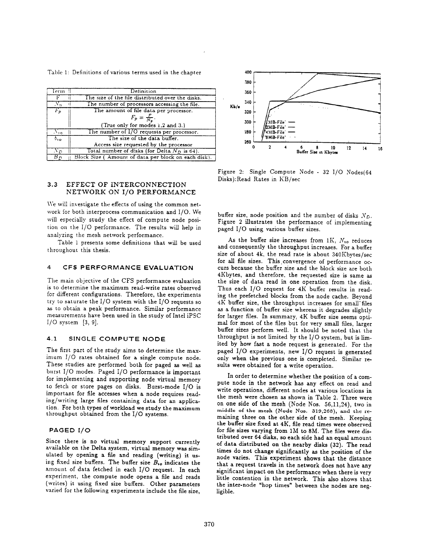Table 1: Definitions of various terms used in the chapter

| Term.       | Definition                                          |
|-------------|-----------------------------------------------------|
|             | The size of the file distributed over the disks.    |
| $N_n$       | The number of processors accessing the file.        |
| $F_p$       | The amount of file data per processor.              |
|             | $F_p = \frac{F}{N_a}$ .                             |
|             | (True only for modes 1,2 and 3.)                    |
| $N_{12}$    | The number of I/O requests per processor.           |
| $b_{10}$    | The size of the data buffer.                        |
|             | Access size requested by the processor              |
| $\Lambda$ n | Total number of disks (for Delta $N_D$ is 64).      |
| $B_{D}$     | Block Size (Amount of data per block on each disk). |

# 3.3 EFFECT OF INTERCONNECTION  $\cdots$   $\cdots$   $\cdots$   $\cdots$   $\cdots$   $\cdots$   $\cdots$

We will investigate the effects of using the common network for both interprocess communication and I/O. We will especially study the effect of compute node position on the I/O performance. The results will help in analyzing the mesh network performance. analyzing the mesh network performance.

Table 1 presents some definitions that will be used throughout this thesis.

# 4 CFS PERFORMANCE EVALUATION

The main objective of the CFS performance evaluation<br>is to determine the maximum read-write rates observed  $\frac{1}{2}$  is the determine the main read-write rates observed  $\frac{1}{2}$ for different configurations. Therefore, the experiments try to saturate the 1/0 system with the 1/0 requests so as to obtain a peak performance. Similar performance  $m$  and  $m$  is the study of  $m$  in the study of  $m$  intel in  $S$ 1/0 system [3, 9].

# 4.1 SINGLE COMPUTE NODE

The first part of the study aims to determine the maximum I/O rates obtained for a single compute node.<br>These studies are performed both for paged as well as These studies are performed both for paged as well as  $\frac{1}{2}$  modes. Paged 1/0 performance is important for implementing and supporting node virtual memory to fetch or store pages on disks. Burst-mode I/O is important for file accesses when a node requires reading/writing large files containing data for an application. For both types of workload we study the maximum  $t_{\text{total}}$  for  $t_{\text{total}}$  the maximum  $t_{\text{total}}$  and  $t_{\text{total}}$  and  $t_{\text{total}}$  $t_{\text{inter}}$  obtained from the  $1/\sqrt{3}$  system

# PAGED I/O

Since there is no virtual memory support currently available on the Delta system, virtual memory was simulated by opening a file and reading (writing) it using fixed size buffers. The buffer size  $B_{10}$  indicates the amount of data fetched in each I/O request. In each experiment, the compute node opens a file and reads (writes) it using fixed size buffers. Other parameters (writtes) it using fixed size buffers. Other parameters varied for the following experiments include the file size,



Figure 2: Single Compute Node - 32 I/O Nodes(64 Disks): Read Rates in KB/sec

buffer size, node position and the number of disks  $N_{D}$ . Figure 2 illustrates the performance of implementing paged 1/0 using various buffer sizes.

As the buffer size increases from  $1K$ ,  $N_{10}$  reduces and consequently the throughput increases. For a buffer size of about  $4k$ , the read rate is about 340 $K$ bytes/sec for all file sizes. This convergence of performance occurs because the buffer size and the block size are both 4Kbytes, and therefore, the requested size is same as the size of data read in one operation from the disk. Thus each 1/0 request for 4K buffer results in reading the prefetched blocks from the node cache. Beyond 4K buffer size, the throughput increases for small files as a function of buffer size whereas it degrades slightlv for larger files. In summary,  $4K$  buffer size seems optimal for most of the files but for very small files, larger buffer sizes perform well. It should be noted that the throughput is not limited by the 1/0 system, but is limited by how fast a node request is generated. For the paged 1/0 experiments, new 1/0 request is generated only when the previous one is completed. Similar results were obtained for a write operation.

In order to determine whether the position of a compute node in the network has any effect on read and write operations, different nodes at various locations in the mesh were chosen as shown in Table 2. Three were on one side of the mesh (Node Nos. 56,11,24), two in middle of the mesh (Node Nos. 319,268), and the remaining three on the other side of the mesh. Keeping the buffer size fixed at 4K, file read times were observed for file sizes varying from 1M to 8M. The files were distributed over 64 disks, so each side had an equal amount of data distributed on the nearby disks (32). The read times do not change significantly as the position of the node varies. This experiment shows that the distance that a request travels in the network does not have any significant impact on the performance when there is very little contention in the network. This also shows that the inter-node "hop times" between the nodes are negligible.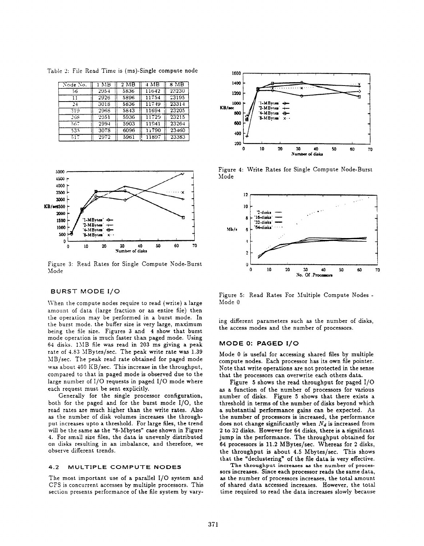Table 2: File Read Time is (ms)-Single compute node

| Node No.      | MВ   | $2 \overline{MB}$ | 4 MB  | 8 MB  |
|---------------|------|-------------------|-------|-------|
| 56            | 2954 | 5836              | 11642 | 22230 |
| 11            | 2926 | 5896              | 11754 | 73195 |
| $\frac{1}{2}$ | 3018 | 5836              | 11749 | 23314 |
| 319           | 2968 | 5843              | 11694 | 23205 |
| 268           | 2951 | 5936              | 11729 | 23215 |
| 567           | 2994 | 5903              | 11941 | 23264 |
| 535           | 3078 | 6096              | 11790 | 23460 |
| 517           | 2972 | 5961              | 11897 | 23383 |



Figure 3: Read Rates for Single Compute Node-Burst Mode

# BURST MODE 1/0

When the compute nodes require to read (write) a large amount of data (large fraction or an entire file) then the operation may be performed in a burst mode. In the burst mode. the buffer size is very large, maximum being the file size. Figures 3 and 4 show that burst mode operation is much faster than paged mode. Using 64 disks. I\lB file was read in 203 ms giving a peak rate of 4.83 MBytes/sec. The peak write rate was 1.39 MB/see. The peak read rate obtained for paged mode was about 400 KB/sec. This increase in the throughput, compared to that in paged mode is observed due to the large number of 1/0 requests in paged 1/0 mode where each request must be sent explicitly.

Generally for the single processor configuration, both for the paged and for the burst mode 1/0, the read rates are much higher than the write rates. Also as the number of disk volumes increases the throughput increases upto a threshold. For large files, the trend will be the same as the "8-Mbytes" case shown in Figure 4. For small size files, the data is unevenly distributed on disks resulting in an imbalance, and therefore, we observe different trends.

#### 4.2 MULTIPLE COMPUTE NODES

The most important use of a parallel 1/0 system and CFS is concurrent accesses by multiple processors. This section presents performance of the file system by vary-



Figure 4: Write Rates for Single Compute Node-Burst Mode



Figure S: Read Rates For Multiple Compute Nodes - Mode O

ing different parameters such as the number of disks, the access modes and the number of processors.

#### MODE O: PAGED 1/0

Mode O is useful for accessing shared files by multiple compute nodes. Each processor has its own file pointer. Note that write operations are not protected in the sense that the processors can overwrite each others data.

Figure 5 shows the read throughput for paged  $I/O$ as a function of the number of processors for various number of disks. Figure 5 shows that there exists a threshold in terms of the number of disks beyond which a substantial performance gains can be expected. As the number of processors is increased, the performance does not change significantly when  $N_d$  is increased from 2 to 32 disks. However for 64 disks, there is a significant jump in the performance. The throughput obtained for 64 processors is 11.2 MBytes/sec. Whereas for 2 disks, the throughput is about 4.5 Mbytes/sec. This shows that the "declustering" of the file data is very effective.

The throughput increases as the number of processors increases. Since each processor reads the same data, as the number of processors increases, the total amount of shared data accessed increases. However, the total time required to read the data increases slowly because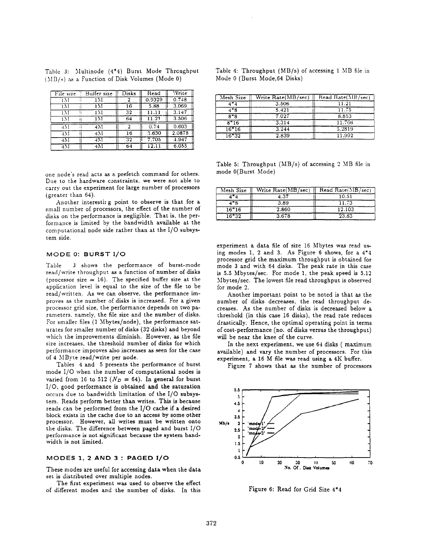|  |                                                 |  | Table 3: Multinode (4*4) Burst Mode Throughput |
|--|-------------------------------------------------|--|------------------------------------------------|
|  | $(MB/s)$ as a Function of Disk Volumes (Mode 0) |  |                                                |

| File size      | Buifer size | Disks | Read   | <i><b>Vrite</b></i> |
|----------------|-------------|-------|--------|---------------------|
| īΜ             | īŇ1         |       | 0.9329 | 0.748               |
| 1 1 1          | 1 M         | 16    | 5.88   | 3.069               |
| ιM             | 1 M         | 32    | 11.11  | 3.147               |
| 1 M            | 1 M         | 64    | 11.21  | 3.506               |
| 1 <sub>M</sub> | 4M          |       | 0.74   | 0.603               |
| 471            | 4.V1        | 16    | 3.630  | 2.0878              |
| 471            | 4M          | 32    | 7.705  | 4.947               |
| 471            | 4M          | 64    |        | 6.055               |

one node"s read acts as a prefetch command for others. Due to the hardware constraints, we were not able to carry out the experiment for large number of processors (greater than 64).

Another interestirg point to observe is that for a small number of processors, the effect of the number of disks on the performance is negligible. That is, the performance is limited by the bandwidth available at the computational node side rather than at the 1/0 subsystem side.

#### MODE O: BURST 1/0

Table 2 shows the performance of burst-mode read/write throughput as a function of number of disks (processor size  $= 16$ ). The specified buffer size at the application level is equal to the size of the file to be read/written. As we can observe, the performance improves as the number of disks is increased. For a given processor grid size, the performance depends on two parameters. namely, the file size and the number of disks. For smaller files (1 Mbytes/node), the performance saturates for smaller number of disks (32 disks) and beyond which the improvements diminish. However, as the file size increases, the threshold number of disks for which performance improves also increases as seen for the case of 4 MByte read/write per node.

Tables 4 and 5 presents the performance of burst mode 1/0 when the number of computational nodes is varied from 16 to 512 ( $N_D = 64$ ). In general for burst 1/0, good performance is obtained and the saturation occurs due to bandwidth limitation of the 1/0 subsystem. Reads perform better than writes. This is because reads can be performed from the 1/0 cache if a desired block exists in the cache due to an access by some other processor. However, all writes must be written onto the disks. The difference between paged and burst 1/0 performance is not significant because the system bandwidth is not limited.

#### MODES 1, 2 AND 3 : PAGED 1/0

These modes are useful for accessing data when the data set is distributed over multiple nodes.

The first experiment was used to observe the effect of different modes and the number of disks. In this

|  | Table 4: Throughput $(MB/s)$ of accessing 1 MB file in |  |  |  |
|--|--------------------------------------------------------|--|--|--|
|  | Mode 0 (Burst Mode,64 Disks)                           |  |  |  |

| Mesh Size | Write Rate(MB/sec) | Read Rate(MB/sec) |
|-----------|--------------------|-------------------|
| $4 - 1$   | 3.506              | 11.21             |
| $4 - 8$   | 5.421              | 11.75             |
| $8*8$     | 7.027              | 8.853             |
| $8 - 16$  | 3.314              | 11.766            |
| $16*16$   | 3.244              | 5.2819            |
| 16*32     | 2.839              | 11.992            |

Table 5: Throughput  $(MB/s)$  of accessing 2 MB file in mode 0(Burst Mode)

| Mesh Size | Write Rate(MB/sec) | Read Rate(MB/sec) |
|-----------|--------------------|-------------------|
|           | 4.37               | 10.51             |
| 1*8       | 3.89               | 11.73             |
| $16*16$   | 2.860              | 12.103            |
| $16 - 32$ | 3.678              | 23.83             |

experiment a data file of size 16 Mbytes was read using modes 1, 2 and 3. As Figure 6 shows, for a 4"4 processor grid the maximum throughput is obtained for mode 3 and with 64 disks. The peak rate in this case is 5.5 Mbytes/sec. For mode 1, the peak speed is 5.12 Mbytes/see, The lowest file read throughput is observed for mode 2.

Another important point to be noted is that as the number of disks decreases, the read throughput decreases. As the number of disks is decreased below a threshold (in this case 16 disks), the read rate reduces drastically; Hence, the optimal operating point in terms of cost-performance (no. of disks versus the throughput) will be near the knee of the curve.

In the next experiment, we use 64 disks ( maximu available) and vary the number of processors. For this experiment, a 16 M file was read using a 4K buffer.

Figure 7 shows that as the number of processors



Figure 6: Read for Grid Size 4\*4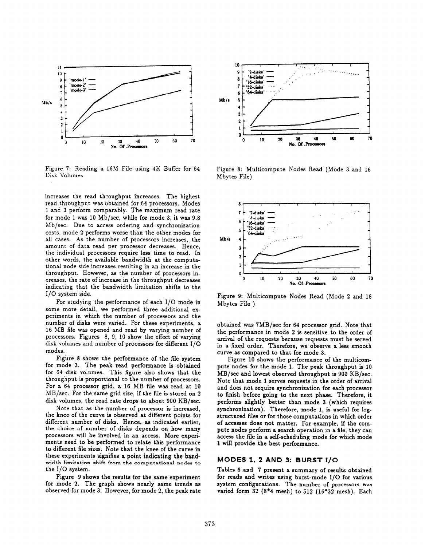

Figure 7: Reading a 16M File using 4K Buffer for 64 Figure 8: Multicompute Nodes Read (Mode 3 and 16<br>Disk Volumes Motes File)

increases the read throughput increases. The highest read throughput was obtained for 64 processors. Modes 1 and 3 perform comparably. The maximum read rate for mode 1 was 10 Mb/see, while for mode 3, it was 9.8 Mb/see. Due to access ordering and synchronization costs, mode 2 performs worse than the other modes for all cases. As the number of processors increases, the amount of data read per processor decreases. Hence, the individual processors require less time to read. In other words, the available bandwidth at the computational node side increases resulting in an increase in the throughput. However, as the number of processors increases, the rate of increase in the throughput decreases indicating that the bandwidth limitation shifts to the 1/0 system side.

For studying the performance of each 1/0 mode in some more detail, we performed three additional experiments in which the number of processors and the number of diska were varied. For these experiments, a 16 MB file was opened and read by varying number of processors. Figures 8, 9, 10 show the effect of varying disk volumes and number of processors for different 1/0 modes.

Figure 8 shows the performance of the file system for mode 3. The peak read performance is obtained for 64 disk volumes. This figure also shows that the throughput is proportional to the number of processors. For a 64 processor grid, a 16 MB file was read at 10 MB/see. For the same grid size, if the file is stored on 2 disk volumes, the read rate drops to about 900 KB/sec.

Note that as the number of processor is increased, the knee of the curve is observed at different points for different number of disks. Hence, as indicated earlier, the choice of number of disks depends on how many processors will be involved in an access. More experiments need to be performed to relate this performance to different file sizes. Note that the knee of the curve in these experiments signifies a point indicating the bandwidth limitation shift from the computational nodes to the 1/0 system.

figure 9 shows the results for the same experiment for mode 2. The graph shows nearly same trends as observed for mode 3. However, for mode 2, the peak rate



Mbytes File)



Figure 9: Multicompute Nodes Read (Mode 2 and 16 Mbytes File )

obtained was 7MB/sec for 64 processor grid. Note that the performance in mode 2 is sensitive to the order of arrival of the requests because requests must be served in a fixed order. Therefore, we observe a less smooth curve as compared to that for mode 3.

Figure 10 shows the performance of the multicompute nodes for the mode 1. The peak throughput is 10 MB/see and lowest observed throughput is 900 KB/sec. Note that mode 1 serves requests in the order of arrival and does not require synchronization for each processor to finish before going to the next phase. Therefore, it performs slightly better than mode 3 (which requires synchronization). Therefore, mode 1, is useful for logstructured files or for those computations in which order of accesses does not matter, For example, if the compute nodes perform a search operation in a file, they can access the file in a self-scheduling mode for which mode 1 will provide the best performance.

# MODES 1, 2 AND 3: BURST 1/0

Tables 6 and 7 present a summary of results obtained for reads and writes using burst-mode 1/0 for various system configurations. The number of processors waa varied form 32 (8\*4 mesh) to 512 (16\*32 mesh). Each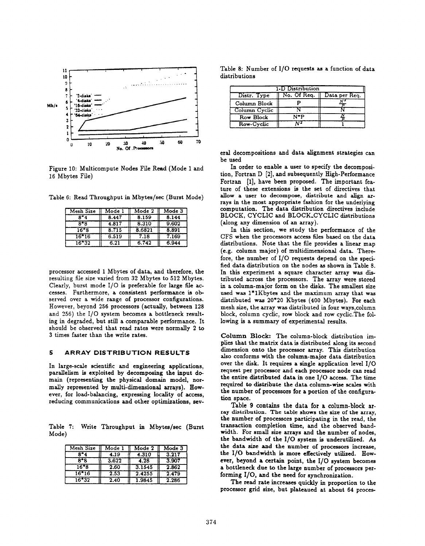

Figure 10: Multicompute Nodes File Read (Mode 1 and 16 Mbytes File)

Table 6: Read Throughput in Mbytes/see (Burst Mode)

| Mesh Size | Mode 1 | Mode 2 | Mode 3 |
|-----------|--------|--------|--------|
| $8 - 4$   | 8.447  | 8.159  | 8.144  |
| $8 - 8$   | 4.817  | 8.310  | 9.602  |
| $16*8$    | 8.715  | 8.6821 | 8.891  |
| $16 - 16$ | 6.519  | 7.18   | 7.169  |
| $16*32$   | 6.21   | 6.742  | 6.944  |

processor accessed 1 Mbytes of data, and therefore, the resulting file size varied from 32 Mbytes to 512 Mbytes. Clearly, burst mode 1/0 is preferable for large file accesses. Furthermore, a consistent performance is observed over a wide range of processor configurations. However, beyond 256 processors (actually, between 128 and 256) the 1/0 system becomes a bottleneck resulting in degraded, but still a comparable performance. It should be observed that read rates were normally 2 to 3 times fzster than the write rates.

#### 5 ARRAY DISTRIBUTION RESULTS

In large-scale scientific and engineering applications, parallelism is exploited by decomposing the input domain (representing the physical domain model, normally represented by multi-dimensional arrays). However, for load-balancing, expressing locality of access, reducing communications and other optimizations, sev-

Table 7: Write Throughput in Mbytes/see (Burst Mode)

| Mesh Size | Mode 1 | Mode 2 | Mode 3 |
|-----------|--------|--------|--------|
| 8*4       | 4.19   | 4.310  | 3.217  |
| $8 - 8$   | 3.622  | 4.28   | 3.907  |
| $16*8$    | 2.60   | 3.1545 | 2.862  |
| $16*16$   | 2.53   | 2.4255 | 2.479  |
| 16*32     | 2.40   | 1.9845 | 2.286  |

Table 8: Number of I/O requests as a function of data distributions

| 1-D Distribution |             |               |  |  |  |  |
|------------------|-------------|---------------|--|--|--|--|
| Distr. Type      | No. Of Req. | Data per Req. |  |  |  |  |
| Column Block     |             |               |  |  |  |  |
| Column Cyclic    |             |               |  |  |  |  |
| Row Block        | $N^*P$      |               |  |  |  |  |
| Row-Cyclic       |             |               |  |  |  |  |

eral decompositions and data alignment strategies can be used

In order to enable a user to specify the decomposition, Fortran D [2], and subsequently High-Performance Fortran [1], have been proposed. The important feature of these extensions is the set of directives that allow <sup>a</sup> user to decompose, distribute and align arrays in the most appropriate fashion for the underlying computation. The data distribution directives include BLOCK, CYCLIC and BLOCK-CYCLIC distributions (along any dimension of an array).

In this section, we study the performance of the CFS when the processors access files based on the data distributions. Note that the file provides a linear map (e.g. column major) of multidimensional data. Therefore, the number of 1/0 requests depend on the specified data distribution on the nodes as shown in Table 8. In this experiment a square character array was distributed across the processors. The array were stored in a column-major form on the disks. The smallest size used was l\*1Kbytes and the maximum array that was distributed was 20\*20 Kbytes (4OO Mbytes). For each mesh size, the array was distributed in four ways, column block, column cyclic, row block and row cyclic. The following is a summary of experimental results.

Column Block: The column-block distribution implies that the matrix data is distributed along its second dimension onto the processor array. This distribution also conforms with the column-major data distribution over the disk. It requires a single application level 1/0 request per processor and each processor node can read the entire distributed data in one 1/0 access. The time required to distribute the data column-wise scales with the number of processors for a portion of the configuration space.

Table 9 contains the data for a column-block array distribution. The table shows the size of the array, the number of processors participating in the read, the transaction completion time, and the observed bandwidth. For small size arrays and the number of nodes, the bandwidth of the 1/0 system is underutilized. As the data size and the number of processors increase, the I/O bandwidth is more effectively utilized. However, beyond a certain point, the 1/0 system becomes a bottleneck due to the large number of processors performing 1/0, and the need for synchronization.

The read rate increases quickly in proportion to the processor grid size, but plateaued at about 64 proces-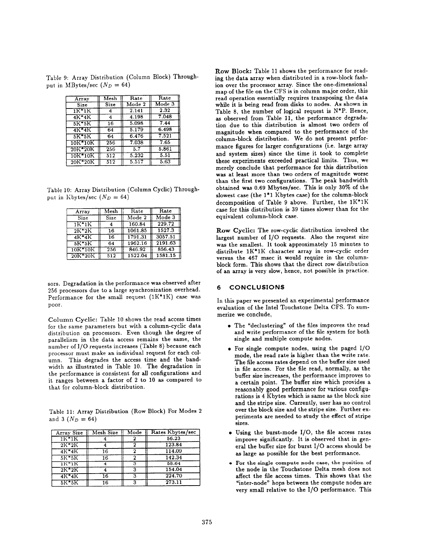Table 9: Array Distribution (Column Block) Throughput in MBytes/sec  $(N_D = 64)$ 

| Array     | Mesh             | Rate   | Rate   |
|-----------|------------------|--------|--------|
| Size      | Size             | Mode 2 | Mode 3 |
| $1K^*1K$  |                  | 2.141  | 2.32   |
| $4K*4K$   | 4                | 4.198  | 7.048  |
| $5K*5K$   | 16               | 5.098  | 7.44   |
| 4K*4K     | 64               | 5.179  | 6.498  |
| 5K*5K     | 64               | 6.476  | 7.521  |
| 10K*10K   | 256              | 7.038  | 7.65   |
| 20K*20K   | 256              | 5.7    | 5.861  |
| 10K*10K   | 512              | 5.232  | 5.51   |
| $20K*20K$ | $\overline{512}$ | 5.517  | 5.63   |

Table 10: Array Distribution (Column Cyclic) Throughput in Kbytes/sec  $(N_D = 64)$ 

| Array      | $\overline{\mathsf{M}}$ esh | Rate    | Rate    |
|------------|-----------------------------|---------|---------|
| Size       | Size                        | Mode 2  | Mode 3  |
| 1K*1K      |                             | 160.84  | 229.72  |
| $2K^*2K$   | 16                          | 1061.85 | 1527.3  |
| $4K*4K$    | 16                          | 1791.31 | 3057.51 |
| $5K*5K$    | 64                          | 1962.16 | 2191.63 |
| $10K*10K$  | 256                         | 846.92  | 856.43  |
| $20K^*20K$ | 512                         | 1522.04 | 1581.15 |

sors. Degradation in the performance was observed after 256 processors due to a large synchronization overhead. Performance for the small request  $(1K^*1K)$  case was poor.

Column Cyclic: Table 10 shows the read access times for the same parameters but with a column-cyclic data distribution on processors. Even though the degree of parallelism in the data access remains the same, the number of 1/0 requests increases (Table 8) because each processor must make an individual request for each column. This degrades the access time and the bandwidth as illustrated in Table 10. The degradation in the performance is consistent for all configurations and it ranges between a factor of 2 to 10 as compared to that for column-block distribution.

Table 11: Array Distribution (Row Block) For Modes 2 and 3  $(N_D = 64)$ 

| Array Size   | Mesh Size | Mode | Rates Kbytes/sec |
|--------------|-----------|------|------------------|
| $1K^*1K$     |           |      | 56.23            |
| $2K+2K$      |           |      | 123.84           |
| $4K*4K$      | 16        |      | 114.09           |
| $5K$ $5K$    | 16        | ົ    | 142.34           |
| 1K*1K        |           | 3    | 58.64            |
| $2K^*2K$     |           | 3    | 154.04           |
| $4K^*4K$     | 16        | ٩    | 224.70           |
| <b>5K*5K</b> | 16        | ີ    | 273.11           |

Row Block: Table 11 shows the performance for reading the data array when distributed in a row-block fashion over the processor array. Since the one-dimensional map of the file on the CFS is in column major order, this read operation essentially requires transposing the data while it is being read from disks to nodes. As shown in Table 8, the number of logical request is N\*P. Hence, as observed from Table 11, the performance degradation due to this distribution is almost two orders of magnitude when compared to the performance of the column-block distribution. We do not present performance figures for larger configurations (i.e. large array and system sizes) since the time it took to complete these experiments exceeded practical limits. Thus, we merely conclude that performance for this distribution was at least more than two orders of magnitude worse than the first two configurations. The peak bandwidth obtained was 0.69 Mbytes/sec. This is only 30% of the slowest case (the 1\*1 Kbytes case) for the column-block decomposition of Table 9 above. Further, the  $1K^*1K$ case for this distribution is 39 times slower than for the equivalent column-block case.

Row Cyclic: The row-cyclic distribution involved the largest number of 1/0 requests. Also the request size was the smallest. It took approximately 15 minutes to distribute 1K\*1K character array in row-cyclic order versus the 467 msec it would require in the columnblock form. This shows that the direct row distribution of an array is very slow, hence, not possible in practice.

# 6 CONCLUSIONS

In this paper we presented an experimental performance evaluation of the Intel Touchstone Delta CFS. To summerize we conclude,

- The 'declustering" of the files improves the read and write performance of the file system for both single and multiple compute nodes.
- For single compute nodes, using the paged 1/0 mode, the read rate is higher than the write rate. The file access rates depend on the buffer size used in file access. For the file read, normally, as the buffer size increases, the performance improves to a certain point. The buffer size which provides a reasonably good performance for various configurations is 4 Kbytes which is same as the block size and the stripe size. Currently, user has no control over the block size and the stripe size. Further experiments are needed to study the effect of stripe sizes.
- Using the burst-mode 1/0, the file access rates improve significantly. It is observed that in general the buffer size for burst 1/0 access should be as large as possible for the best performance.
- For the single compute node case, the position of the node in the Touchstone Delta mesh does not affect the file access times. This shows that the "inter-node" hops between the compute nodes are very small relative to the 1/0 performance. This